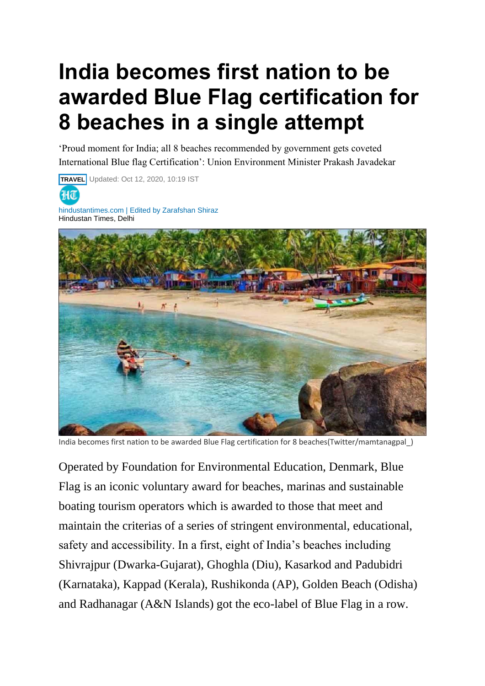## **India becomes first nation to be awarded Blue Flag certification for 8 beaches in a single attempt**

'Proud moment for India; all 8 beaches recommended by government gets coveted International Blue flag Certification': Union Environment Minister Prakash Javadekar





India becomes first nation to be awarded Blue Flag certification for 8 beaches(Twitter/mamtanagpal\_)

Operated by Foundation for Environmental Education, Denmark, Blue Flag is an iconic voluntary award for beaches, marinas and sustainable boating tourism operators which is awarded to those that meet and maintain the criterias of a series of stringent environmental, educational, safety and accessibility. In a first, eight of India's beaches including Shivrajpur (Dwarka-Gujarat), Ghoghla (Diu), Kasarkod and Padubidri (Karnataka), Kappad (Kerala), Rushikonda (AP), Golden Beach (Odisha) and Radhanagar (A&N Islands) got the eco-label of Blue Flag in a row.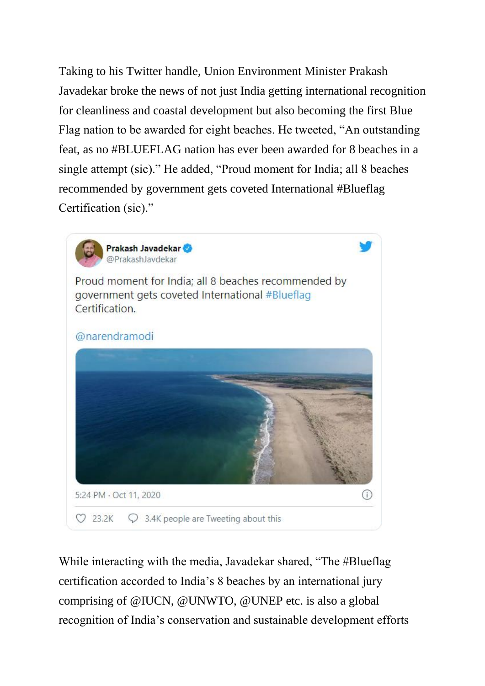Taking to his Twitter handle, Union Environment Minister Prakash Javadekar broke the news of not just India getting international recognition for cleanliness and coastal development but also becoming the first Blue Flag nation to be awarded for eight beaches. He tweeted, "An outstanding feat, as no #BLUEFLAG nation has ever been awarded for 8 beaches in a single attempt (sic)." He added, "Proud moment for India; all 8 beaches recommended by government gets coveted International #Blueflag Certification (sic)."



While interacting with the media, Javadekar shared, "The #Blueflag certification accorded to India's 8 beaches by an international jury comprising of @IUCN, @UNWTO, @UNEP etc. is also a global recognition of India's conservation and sustainable development efforts